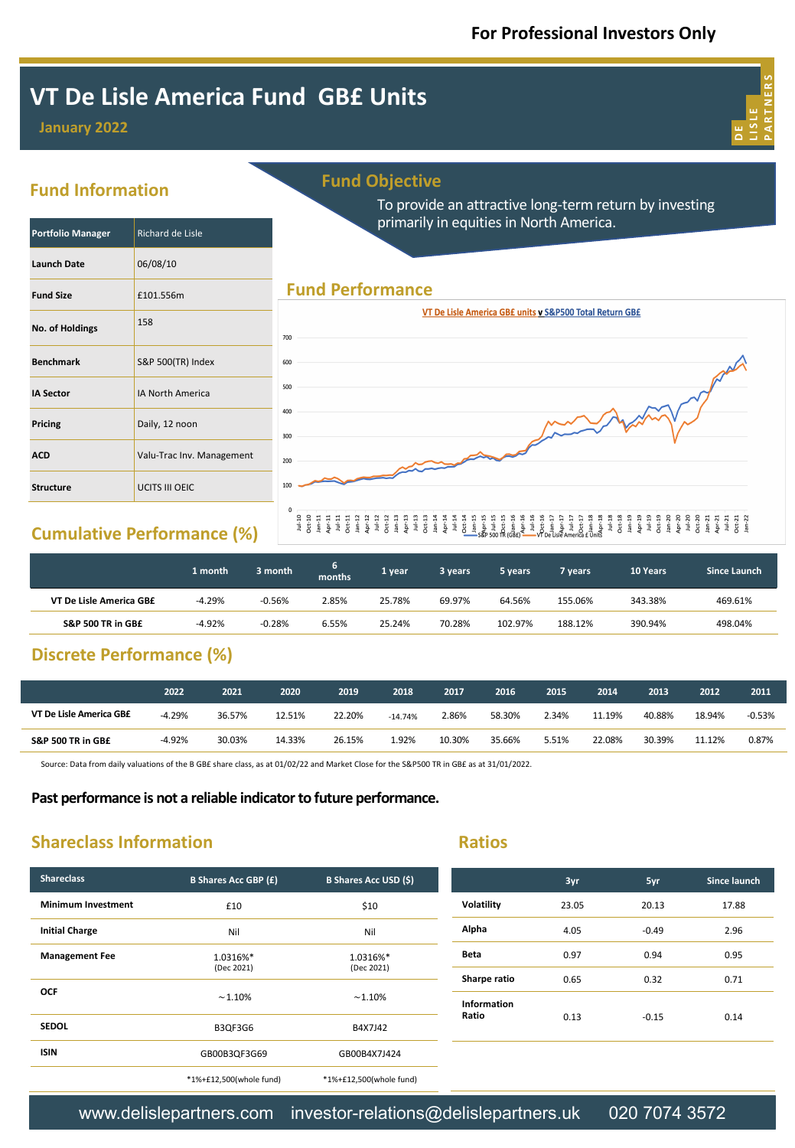**D E LISLE PARTNERS**

**3yr 5yr Since launch**

# **VT De Lisle America Fund GB£ Units**

## **January 2022**



**Portfolio Manager** Richard de Lisle

**Launch Date** 06/08/10

**Fund Size** £101.556m

**Benchmark** S&P 500(TR) Index

**IA Sector IA North America** 

**Pricing** Daily, 12 noon

**Structure UCITS III OEIC** 

**No. of Holdings** <sup>158</sup>

| <b>Fund Objective</b> |  |
|-----------------------|--|
|                       |  |
|                       |  |

To provide an attractive long-term return by investing primarily in equities in North America.

## **Fund Performance**



# **Cumulative Performance (%)**

**ACD Valu-Trac Inv. Management** 

|                         | 1 month  | 3 month  | <b>months</b> | 1 year | 3 years | 5 years. | 7 vears | 10 Years | <b>Since Launch</b> |
|-------------------------|----------|----------|---------------|--------|---------|----------|---------|----------|---------------------|
| VT De Lisle America GB£ | $-4.29%$ | $-0.56%$ | 2.85%         | 25.78% | 69.97%  | 64.56%   | 155.06% | 343.38%  | 469.61%             |
| S&P 500 TR in GB£       | $-4.92%$ | $-0.28%$ | 6.55%         | 25.24% | 70.28%  | 102.97%  | 188.12% | 390.94%  | 498.04%             |

# **Discrete Performance (%)**

|                         | 2022     | 2021   | 2020   | 2019   | 2018      | 2017   | 2016   | 2015  | 2014   | 2013   | 2012   | 2011     |
|-------------------------|----------|--------|--------|--------|-----------|--------|--------|-------|--------|--------|--------|----------|
| VT De Lisle America GB£ | $-4.29%$ | 36.57% | 12.51% | 22.20% | $-14.74%$ | 2.86%  | 58.30% | 2.34% | 11.19% | 40.88% | 18.94% | $-0.53%$ |
| S&P 500 TR in GB£       | $-4.92%$ | 30.03% | 14.33% | 26.15% | 1.92%     | 10.30% | 35.66% | 5.51% | 22.08% | 30.39% | 11.12% | 0.87%    |

Source: Data from daily valuations of the B GB£ share class, as at 01/02/22 and Market Close for the S&P500 TR in GB£ as at 31/01/2022.

#### **Past performance is not a reliable indicator to future performance.**

# **Shareclass Information**

| ۰. |       | e, |  |
|----|-------|----|--|
|    | _____ | л. |  |

| <b>Shareclass</b>         | <b>B Shares Acc GBP (£)</b> | <b>B Shares Acc USD (\$)</b> |              | 3yr   | 5yr     | Since lau |
|---------------------------|-----------------------------|------------------------------|--------------|-------|---------|-----------|
| <b>Minimum Investment</b> | £10                         | \$10                         | Volatility   | 23.05 | 20.13   | 17.88     |
| <b>Initial Charge</b>     | Nil                         | Nil                          | Alpha        | 4.05  | $-0.49$ | 2.96      |
| <b>Management Fee</b>     | 1.0316%*                    | 1.0316%*                     | Beta         | 0.97  | 0.94    | 0.95      |
|                           | (Dec 2021)                  | (Dec 2021)                   | Sharpe ratio | 0.65  | 0.32    | 0.71      |
| <b>OCF</b>                | $~1.10\%$                   | $~1.10\%$                    | Information  |       |         |           |
| <b>SEDOL</b>              | B3QF3G6                     | B4X7J42                      | Ratio        | 0.13  | $-0.15$ | 0.14      |
| <b>ISIN</b>               | GB00B3QF3G69                | GB00B4X7J424                 |              |       |         |           |
|                           | *1%+£12,500(whole fund)     | *1%+£12,500(whole fund)      |              |       |         |           |